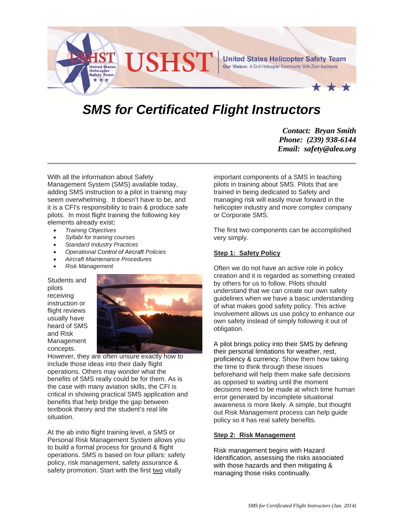

# *SMS for Certificated Flight Instructors*

*Contact: Bryan Smith Phone: (239) 938-6144 Email: safety@alea.org* 

With all the information about Safety Management System (SMS) available today, adding SMS instruction to a pilot in training may seem overwhelming. It doesn't have to be, and it is a CFI's responsibility to train & produce safe pilots. In most flight training the following key elements already exist**:** 

- *Training Objectives*
- *Syllabi for training courses*
- *Standard Industry Practices*
- *Operational Control of Aircraft Policies*
- *Aircraft Maintenance Procedures*
- *Risk Management*

Students and pilots receiving instruction or flight reviews usually have heard of SMS and Risk Management concepts.



However, they are often unsure exactly how to include those ideas into their daily flight operations. Others may wonder what the benefits of SMS really could be for them. As is the case with many aviation skills, the CFI is critical in showing practical SMS application and benefits that help bridge the gap between textbook theory and the student's real life situation.

At the ab initio flight training level, a SMS or Personal Risk Management System allows you to build a formal process for ground & flight operations. SMS is based on four pillars: safety policy, risk management, safety assurance & safety promotion. Start with the first two vitally

important components of a SMS in teaching pilots in training about SMS. Pilots that are trained in being dedicated to Safety and managing risk will easily move forward in the helicopter industry and more complex company or Corporate SMS.

The first two components can be accomplished very simply.

## **Step 1: Safety Policy**

Often we do not have an active role in policy creation and it is regarded as something created by others for us to follow. Pilots should understand that we can create our own safety guidelines when we have a basic understanding of what makes good safety policy. This active involvement allows us use policy to enhance our own safety instead of simply following it out of obligation.

A pilot brings policy into their SMS by defining their personal limitations for weather, rest, proficiency & currency. Show them how taking the time to think through these issues beforehand will help them make safe decisions as opposed to waiting until the moment decisions need to be made at which time human error generated by incomplete situational awareness is more likely. A simple, but thought out Risk Management process can help guide policy so it has real safety benefits.

#### **Step 2: Risk Management**

Risk management begins with Hazard Identification, assessing the risks associated with those hazards and then mitigating & managing those risks continually.